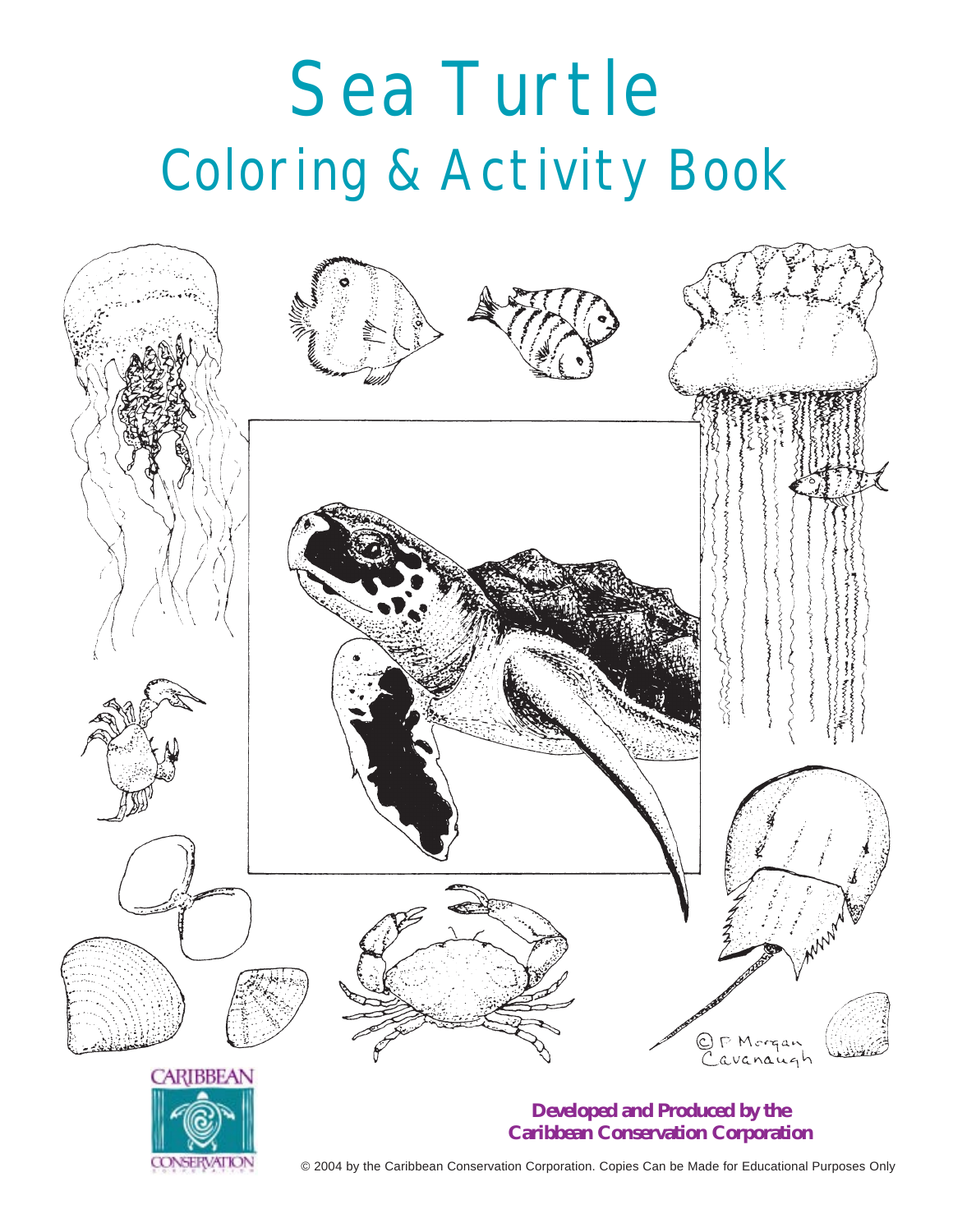# Sea Turtle Coloring & Activity Book





### **Developed and Produced by the Caribbean Conservation Corporation**

© 2004 by the Caribbean Conservation Corporation. Copies Can be Made for Educational Purposes Only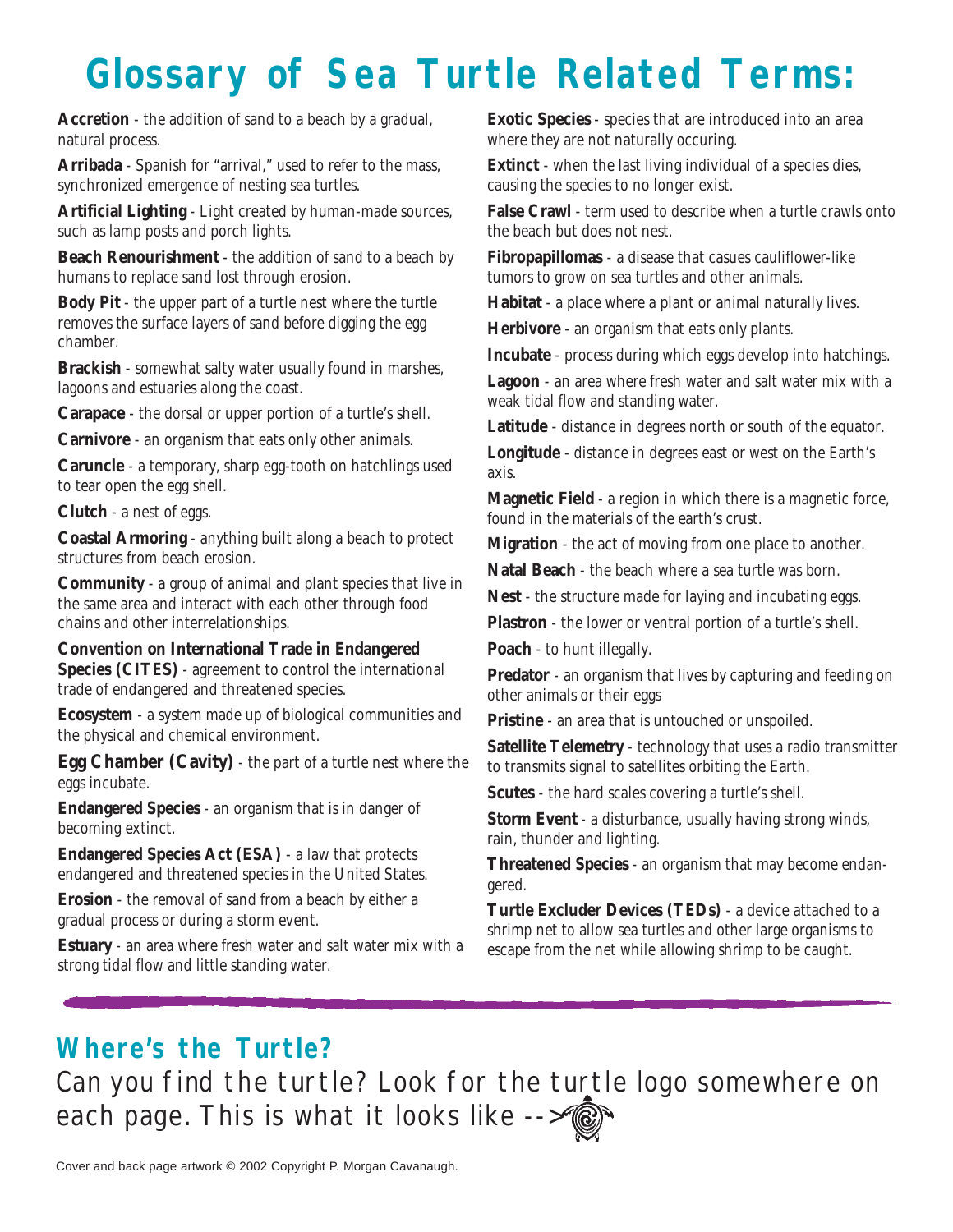## **Glossary of Sea Turtle Related Terms:**

**Accretion** - the addition of sand to a beach by a gradual, natural process.

**Arribada** - Spanish for "arrival," used to refer to the mass, synchronized emergence of nesting sea turtles.

**Artificial Lighting** - Light created by human-made sources, such as lamp posts and porch lights.

**Beach Renourishment** - the addition of sand to a beach by humans to replace sand lost through erosion.

**Body Pit** - the upper part of a turtle nest where the turtle removes the surface layers of sand before digging the egg chamber.

**Brackish** - somewhat salty water usually found in marshes, lagoons and estuaries along the coast.

**Carapace** - the dorsal or upper portion of a turtle's shell.

**Carnivore** - an organism that eats only other animals.

**Caruncle** - a temporary, sharp egg-tooth on hatchlings used to tear open the egg shell.

**Clutch** - a nest of eggs.

**Coastal Armoring** - anything built along a beach to protect structures from beach erosion.

**Community** - a group of animal and plant species that live in the same area and interact with each other through food chains and other interrelationships.

**Convention on International Trade in Endangered Species (CITES)** - agreement to control the international trade of endangered and threatened species.

**Ecosystem** - a system made up of biological communities and the physical and chemical environment.

**Egg Chamber (Cavity)** - the part of a turtle nest where the eggs incubate.

**Endangered Species** - an organism that is in danger of becoming extinct.

**Endangered Species Act (ESA)** - a law that protects endangered and threatened species in the United States.

**Erosion** - the removal of sand from a beach by either a gradual process or during a storm event.

**Estuary** - an area where fresh water and salt water mix with a strong tidal flow and little standing water.

**Exotic Species** - species that are introduced into an area where they are not naturally occuring.

**Extinct** - when the last living individual of a species dies, causing the species to no longer exist.

**False Crawl** - term used to describe when a turtle crawls onto the beach but does not nest.

**Fibropapillomas** - a disease that casues cauliflower-like tumors to grow on sea turtles and other animals.

**Habitat** - a place where a plant or animal naturally lives.

**Herbivore** - an organism that eats only plants.

**Incubate** - process during which eggs develop into hatchings.

**Lagoon** - an area where fresh water and salt water mix with a weak tidal flow and standing water.

**Latitude** - distance in degrees north or south of the equator.

**Longitude** - distance in degrees east or west on the Earth's axis.

**Magnetic Field** - a region in which there is a magnetic force, found in the materials of the earth's crust.

**Migration** - the act of moving from one place to another.

**Natal Beach** - the beach where a sea turtle was born.

**Nest** - the structure made for laying and incubating eggs.

**Plastron** - the lower or ventral portion of a turtle's shell.

**Poach** - to hunt illegally.

**Predator** - an organism that lives by capturing and feeding on other animals or their eggs

**Pristine** - an area that is untouched or unspoiled.

**Satellite Telemetry** - technology that uses a radio transmitter to transmits signal to satellites orbiting the Earth.

**Scutes** - the hard scales covering a turtle's shell.

**Storm Event** - a disturbance, usually having strong winds, rain, thunder and lighting.

**Threatened Species** - an organism that may become endangered.

**Turtle Excluder Devices (TEDs)** - a device attached to a shrimp net to allow sea turtles and other large organisms to escape from the net while allowing shrimp to be caught.

### **Where's the Turtle?**

Can you find the turtle? Look for the turtle logo somewhere on each page. This is what it looks like -->

Cover and back page artwork © 2002 Copyright P. Morgan Cavanaugh.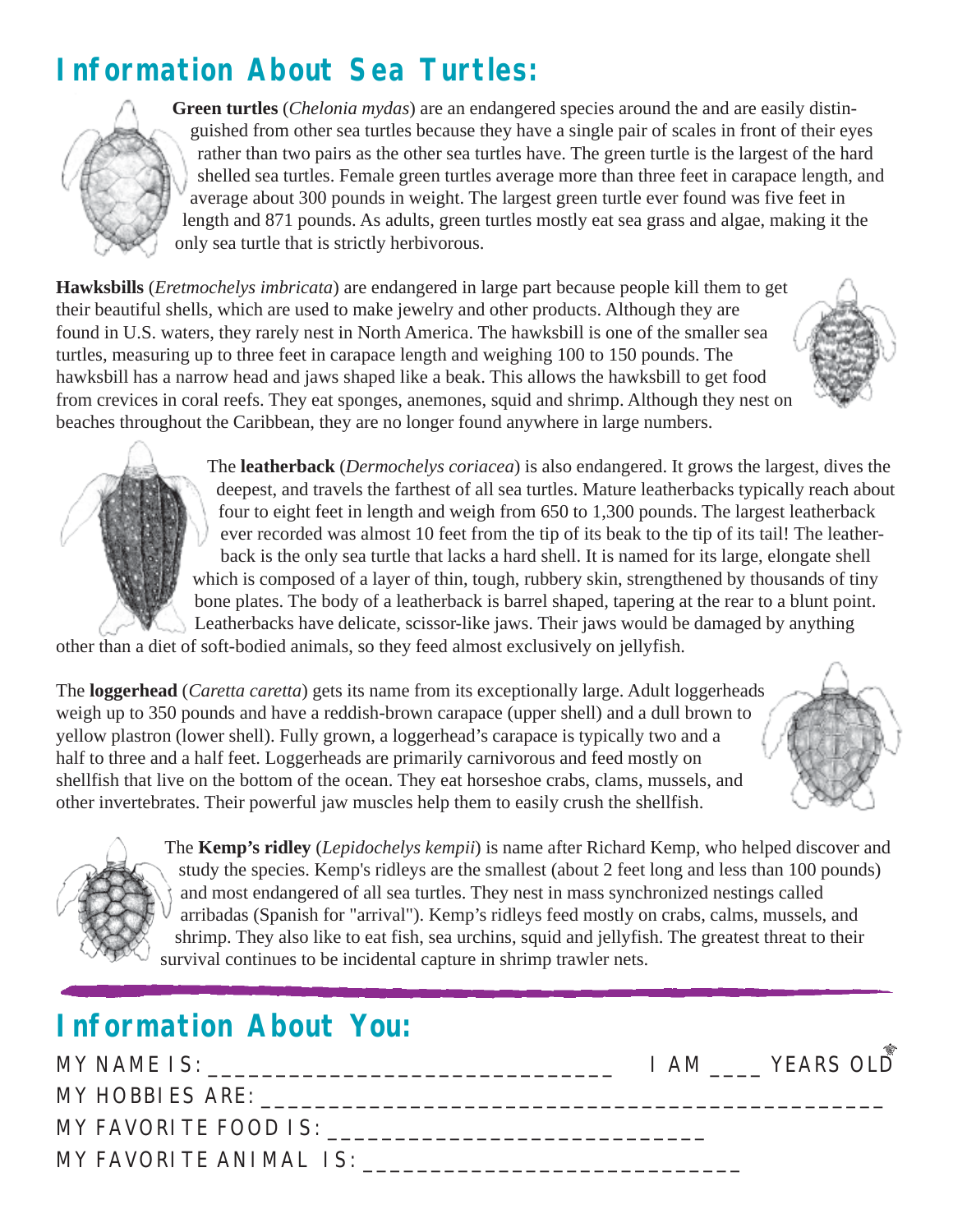### **Information About Sea Turtles:**



**Green turtles** (*Chelonia mydas*) are an endangered species around the and are easily distinguished from other sea turtles because they have a single pair of scales in front of their eyes rather than two pairs as the other sea turtles have. The green turtle is the largest of the hard shelled sea turtles. Female green turtles average more than three feet in carapace length, and average about 300 pounds in weight. The largest green turtle ever found was five feet in length and 871 pounds. As adults, green turtles mostly eat sea grass and algae, making it the only sea turtle that is strictly herbivorous.

**Hawksbills** (*Eretmochelys imbricata*) are endangered in large part because people kill them to get their beautiful shells, which are used to make jewelry and other products. Although they are found in U.S. waters, they rarely nest in North America. The hawksbill is one of the smaller sea turtles, measuring up to three feet in carapace length and weighing 100 to 150 pounds. The hawksbill has a narrow head and jaws shaped like a beak. This allows the hawksbill to get food from crevices in coral reefs. They eat sponges, anemones, squid and shrimp. Although they nest on beaches throughout the Caribbean, they are no longer found anywhere in large numbers.

> The **leatherback** (*Dermochelys coriacea*) is also endangered. It grows the largest, dives the deepest, and travels the farthest of all sea turtles. Mature leatherbacks typically reach about four to eight feet in length and weigh from 650 to 1,300 pounds. The largest leatherback ever recorded was almost 10 feet from the tip of its beak to the tip of its tail! The leatherback is the only sea turtle that lacks a hard shell. It is named for its large, elongate shell which is composed of a layer of thin, tough, rubbery skin, strengthened by thousands of tiny bone plates. The body of a leatherback is barrel shaped, tapering at the rear to a blunt point. Leatherbacks have delicate, scissor-like jaws. Their jaws would be damaged by anything

other than a diet of soft-bodied animals, so they feed almost exclusively on jellyfish.

The **loggerhead** (*Caretta caretta*) gets its name from its exceptionally large. Adult loggerheads weigh up to 350 pounds and have a reddish-brown carapace (upper shell) and a dull brown to yellow plastron (lower shell). Fully grown, a loggerhead's carapace is typically two and a half to three and a half feet. Loggerheads are primarily carnivorous and feed mostly on shellfish that live on the bottom of the ocean. They eat horseshoe crabs, clams, mussels, and other invertebrates. Their powerful jaw muscles help them to easily crush the shellfish.



The **Kemp's ridley** (*Lepidochelys kempii*) is name after Richard Kemp, who helped discover and study the species. Kemp's ridleys are the smallest (about 2 feet long and less than 100 pounds) and most endangered of all sea turtles. They nest in mass synchronized nestings called arribadas (Spanish for "arrival"). Kemp's ridleys feed mostly on crabs, calms, mussels, and shrimp. They also like to eat fish, sea urchins, squid and jellyfish. The greatest threat to their survival continues to be incidental capture in shrimp trawler nets.

### **Information About You:**

| MY NAME IS:            | I AM YEARS OLD |
|------------------------|----------------|
| MY HOBBI ES ARE:       |                |
| MY FAVORI TE FOOD IS:  |                |
| MY FAVORITE ANIMAL IS: |                |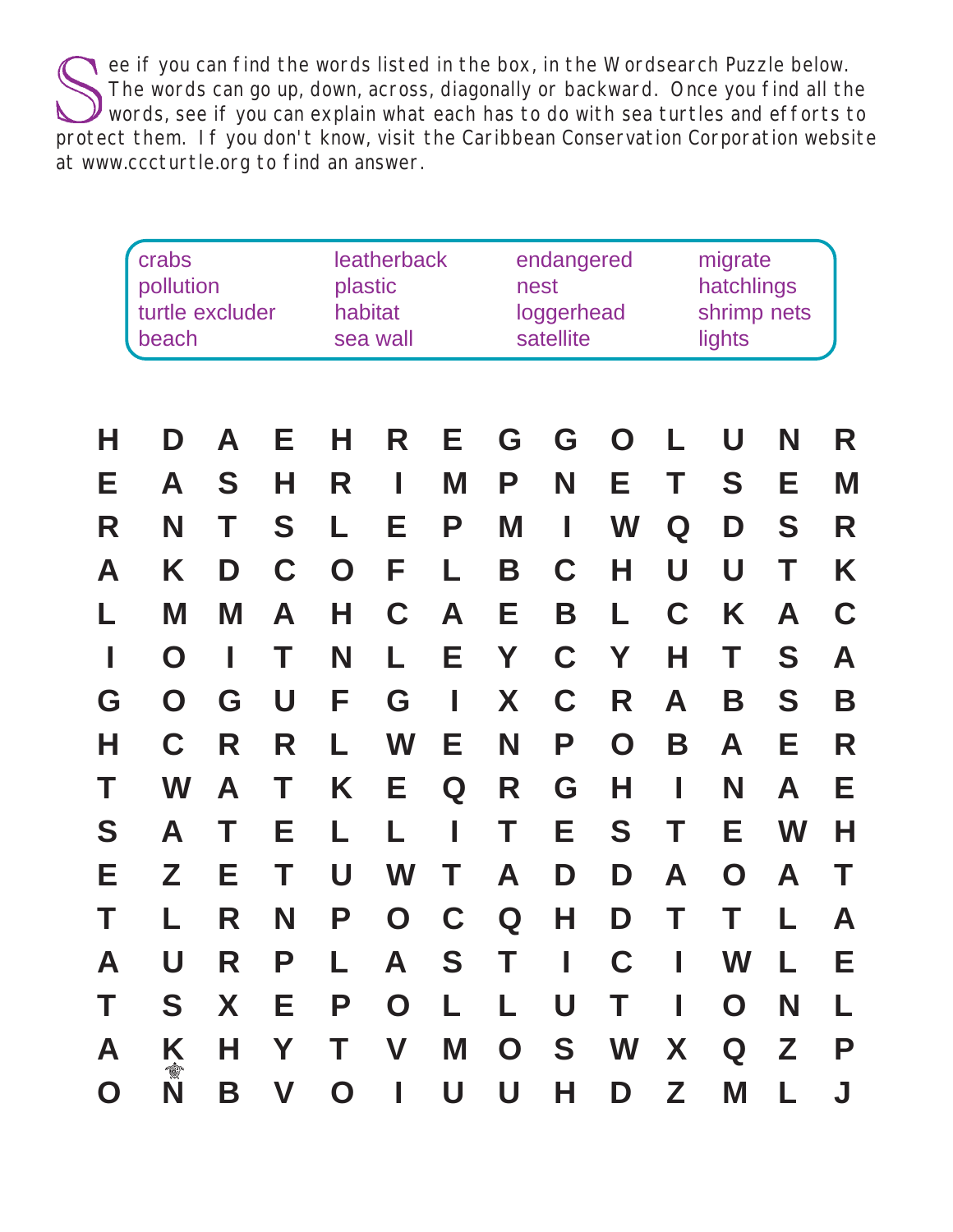ee if you can find the words listed in the box, in the Wordsearch Puzzle below. The words can go up, down, across, diagonally or backward. Once you find all the Words, see if you can explain what each has to do with sea turtles and efforts to protect them. If you don't know, visit the Caribbean Conservation Corporation website at www.cccturtle.org to find an answer.

|             | crabs<br>pollution<br>turtle excluder<br>beach | plastic<br>habitat | leatherback<br>sea wall   |             | nest                      | endangered<br>loggerhead<br>satellite |             | migrate<br>hatchlings<br>shrimp nets<br>lights |             |             |             |    |   |
|-------------|------------------------------------------------|--------------------|---------------------------|-------------|---------------------------|---------------------------------------|-------------|------------------------------------------------|-------------|-------------|-------------|----|---|
| Н           | D                                              | A                  | Е                         | н           | R                         | Е                                     | G           | G                                              | O           | L           | U           | N  | R |
| Е           | A                                              | S                  | Н                         | R           |                           | M                                     | P           | N                                              | Е           | Т           | S           | Е  | M |
| R           | N                                              | T                  | S                         | L           | Е                         | P                                     | M           | I                                              | W           | Q           | D           | S  | R |
| A           | Κ                                              | D                  | C                         | O           | F                         | L                                     | Β           | C                                              | Н           | U           | U           | Т  | K |
| L           | M                                              | M                  | A                         | Н           | C                         | A                                     | Е           | Β                                              | L           | $\mathbf C$ | Κ           | A  | C |
| I           | O                                              | $\mathbb{I}$       | Т                         | N           |                           | Е                                     | Υ           | C                                              | Y           | Н           | Τ           | S  | A |
| G           | O                                              | G                  | U                         | F           | G                         |                                       | X           | C                                              | R           | Α           | Β           | S  | B |
| Н           | C                                              | R                  | R                         | L           | W                         | Е                                     | N           | Ρ                                              | $\mathbf O$ | Β           | A           | Е  | R |
| Τ           | W                                              | Α                  | Т                         | K           | Е                         | Q                                     | R           | G                                              | Н           |             | N           | A  | Е |
| S           | A                                              | T                  | Е                         |             |                           |                                       | Т           | Е                                              | S           |             | Е           | W  | Н |
| Е           | Z                                              | Е                  | Т                         | U           | W                         |                                       | Α           | D                                              | D           | Α           | $\mathbf O$ | Α  |   |
| Т           |                                                | R                  | N                         | Р           | O                         | C                                     | Q           | Н                                              | D           | Τ           | Τ           | L  | Α |
| A           | U                                              | R                  | Р                         | L           | A                         | S                                     |             | ı                                              | C           | I           | W           | L. | Е |
| Τ           | S                                              | X                  | Е                         | P           | $\mathbf O$               | L                                     | L           | U                                              | Т           | I           | $\mathbf O$ | N  | L |
| A           | Ķ                                              | Н                  | Y                         | Τ           | $\boldsymbol{\mathsf{V}}$ | M                                     | $\mathbf O$ | S                                              | W           | X           | Q           | Z  | P |
| $\mathbf O$ | 食<br>N                                         | Β                  | $\boldsymbol{\mathsf{V}}$ | $\mathbf O$ | I                         | U                                     | U           | Н                                              | D           | Z           | M           | L  | J |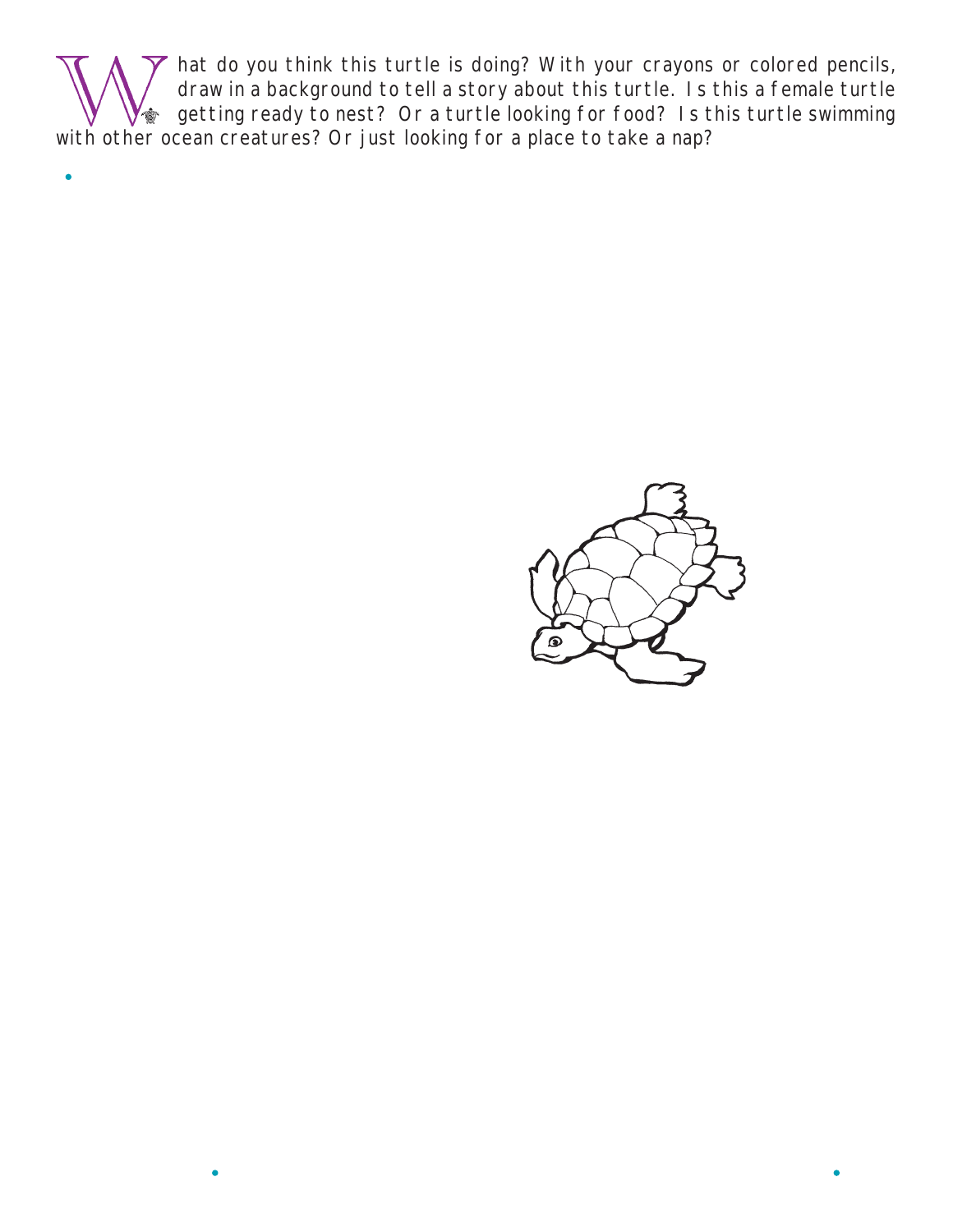hat do you think this turtle is doing? With your crayons or colored pencils, draw in a background to tell a story about this turtle. Is this a female turtle getting ready to nest? Or a turtle looking for food? Is this turtle swimming with other ocean creatures? Or just looking for a place to take a nap?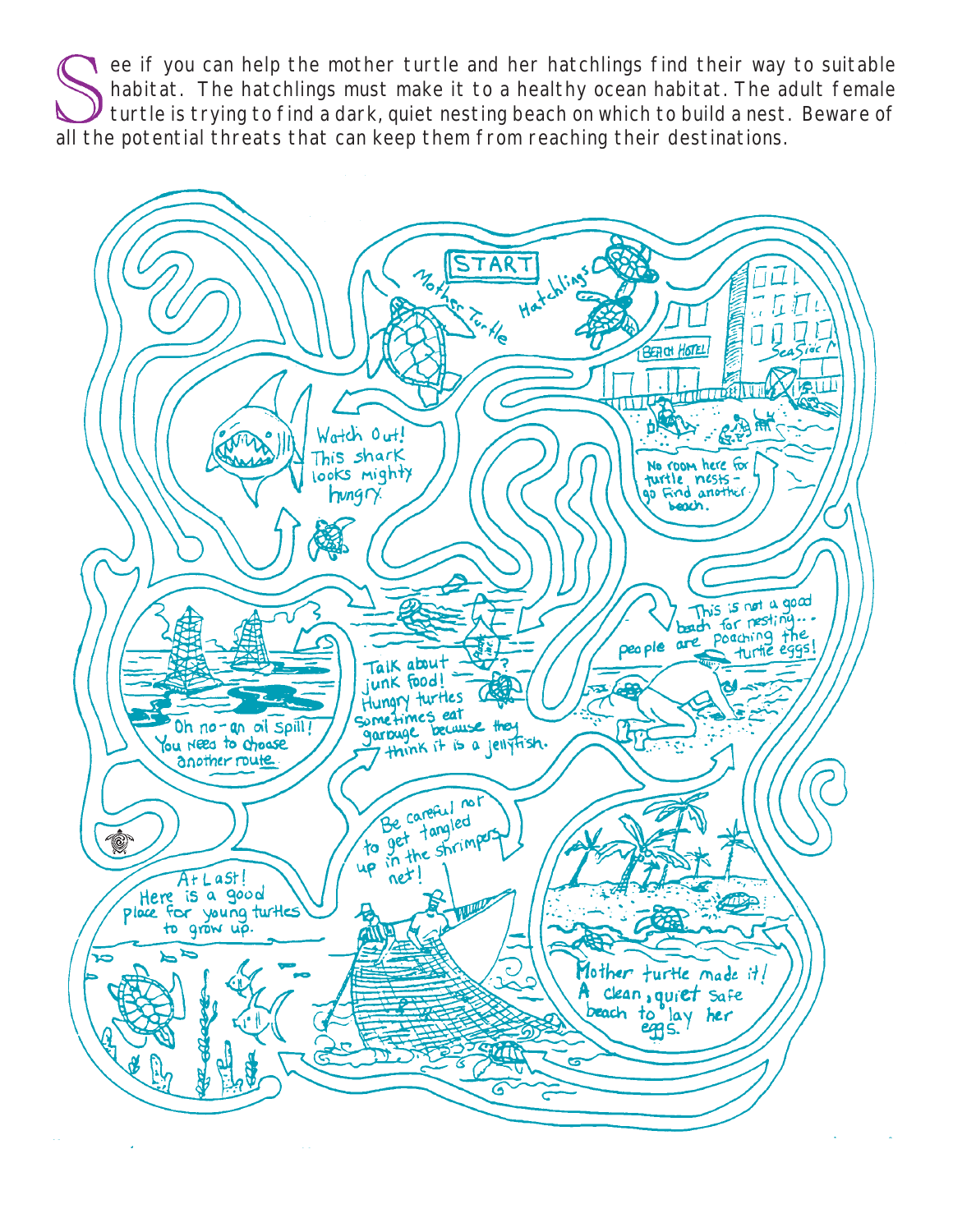ee if you can help the mother turtle and her hatchlings find their way to suitable habitat. The hatchlings must make it to a healthy ocean habitat. The adult female turtle is trying to find a dark, quiet nesting beach on which to build a nest. Beware of all the potential threats that can keep them from reaching their destinations.

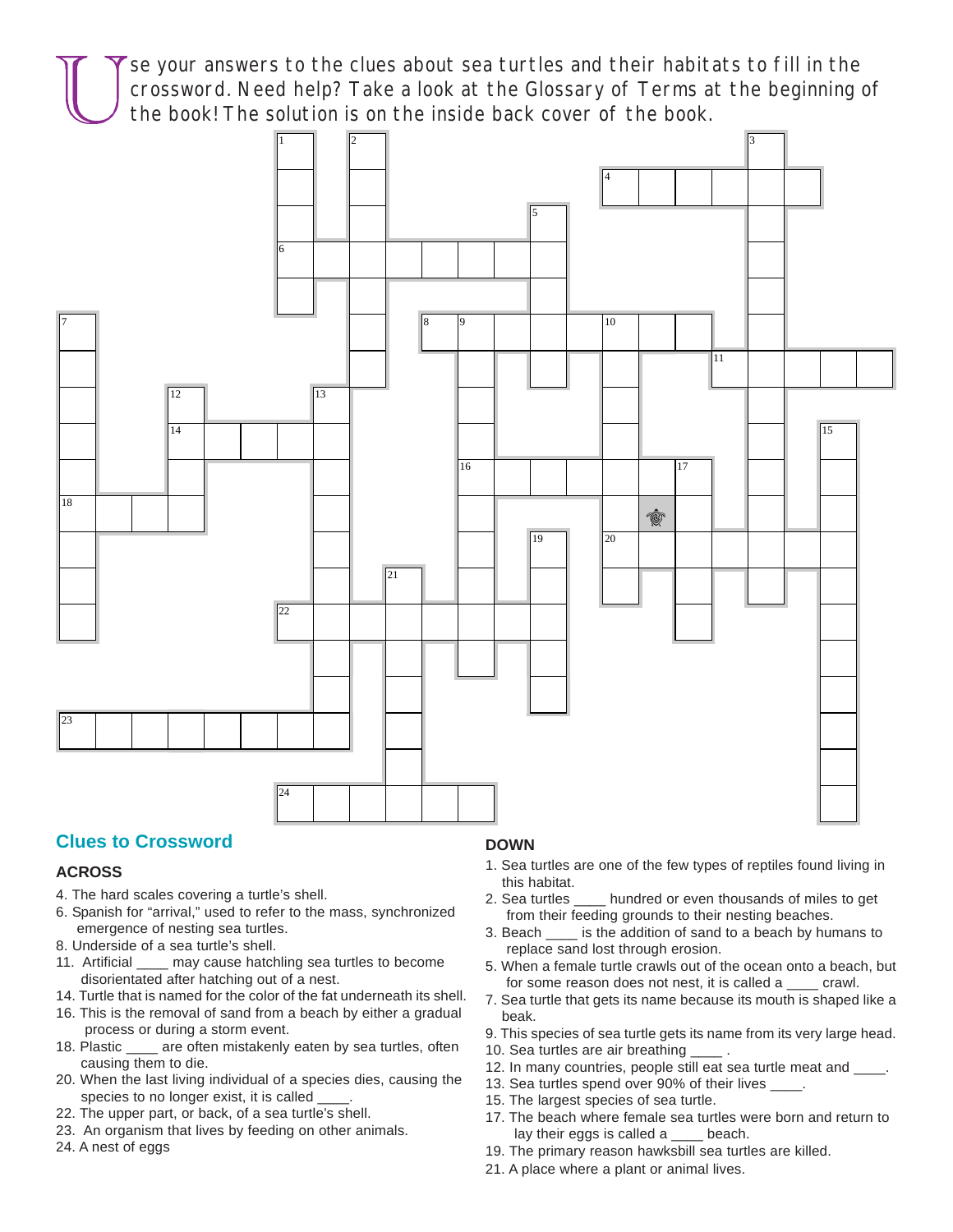se your answers to the clues about sea turtles and their habitats to fill in the crossword. Need help? Take a look at the Glossary of Terms at the beginning of the book! The solution is on the inside back cover of the book.



#### **Clues to Crossword**

#### **ACROSS**

- 4. The hard scales covering a turtle's shell.
- 6. Spanish for "arrival," used to refer to the mass, synchronized emergence of nesting sea turtles.
- 8. Underside of a sea turtle's shell.
- 11. Artificial \_\_\_\_ may cause hatchling sea turtles to become disorientated after hatching out of a nest.
- 14. Turtle that is named for the color of the fat underneath its shell.
- 16. This is the removal of sand from a beach by either a gradual process or during a storm event.
- 18. Plastic \_\_\_\_ are often mistakenly eaten by sea turtles, often causing them to die.
- 20. When the last living individual of a species dies, causing the species to no longer exist, it is called \_\_\_\_.
- 22. The upper part, or back, of a sea turtle's shell.
- 23. An organism that lives by feeding on other animals.
- 24. A nest of eggs

#### **DOWN**

- 1. Sea turtles are one of the few types of reptiles found living in this habitat.
- 2. Sea turtles \_\_\_\_ hundred or even thousands of miles to get from their feeding grounds to their nesting beaches.
- 3. Beach \_\_\_\_ is the addition of sand to a beach by humans to replace sand lost through erosion.
- 5. When a female turtle crawls out of the ocean onto a beach, but for some reason does not nest, it is called a \_\_\_\_ crawl.
- 7. Sea turtle that gets its name because its mouth is shaped like a beak.
- 9. This species of sea turtle gets its name from its very large head.
- 10. Sea turtles are air breathing \_\_\_\_ .
- 12. In many countries, people still eat sea turtle meat and \_\_\_\_.
- 13. Sea turtles spend over 90% of their lives \_\_\_\_\_.
- 15. The largest species of sea turtle.
- 17. The beach where female sea turtles were born and return to lay their eggs is called a \_\_\_\_ beach.
- 19. The primary reason hawksbill sea turtles are killed.
- 21. A place where a plant or animal lives.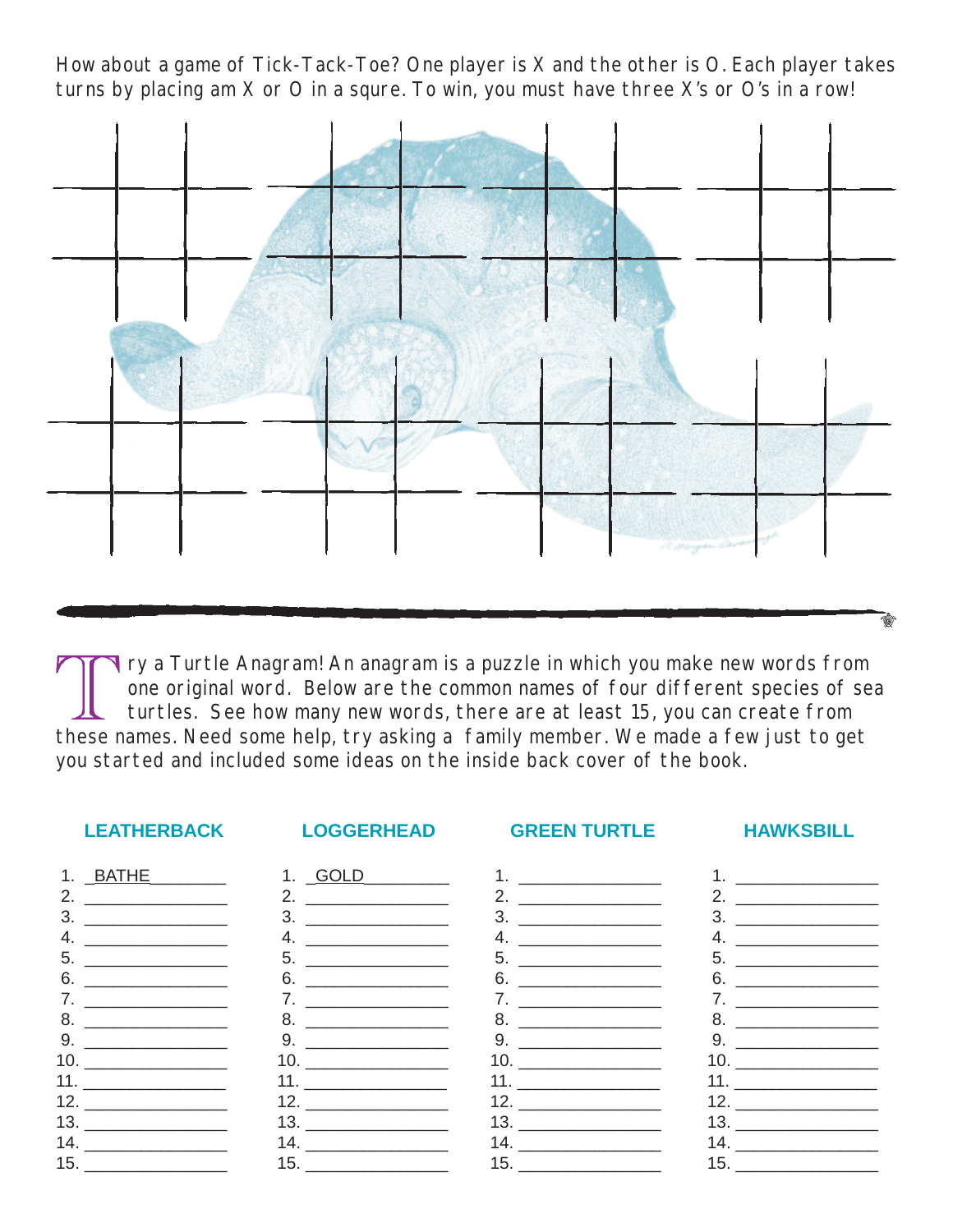How about a game of Tick-Tack-Toe? One player is X and the other is O. Each player takes turns by placing am X or O in a squre. To win, you must have three X's or O's in a row!



T ry a Turtle Anagram! An anagram is a puzzle in which you make new words from one original word. Below are the common names of four different species of sea turtles. See how many new words, there are at least 15, you can create from these names. Need some help, try asking a family member. We made a few just to get you started and included some ideas on the inside back cover of the book.

#### **LEATHERBACK LOGGERHEAD GREEN TURTLE HAWKSBILL**

| 1. BATHE                                                                  | 1. GOLD            |
|---------------------------------------------------------------------------|--------------------|
| 2. $\qquad \qquad$                                                        | 2. $\qquad \qquad$ |
|                                                                           |                    |
| 4. $\qquad \qquad$                                                        | 4. $\qquad \qquad$ |
|                                                                           |                    |
|                                                                           |                    |
|                                                                           |                    |
|                                                                           |                    |
|                                                                           | 9.                 |
| $\begin{array}{c}\n10. \quad \textcolor{blue}{\textbf{200}}\n\end{array}$ |                    |
| <u>11. ___________________</u>                                            |                    |
|                                                                           |                    |
| $13. \_$                                                                  |                    |
| 14. $\qquad \qquad$                                                       | $14. \_$           |
|                                                                           |                    |
|                                                                           |                    |

| 1.             |                                               |
|----------------|-----------------------------------------------|
| 2.             |                                               |
| 3.             |                                               |
| 4.             |                                               |
| 5.             |                                               |
| 6.             |                                               |
| 7 <sub>1</sub> |                                               |
| 8.             | <u> 1989 - Andrea Andrew Maria III (m. 19</u> |
| 9.             |                                               |
|                |                                               |
|                |                                               |
|                |                                               |
|                |                                               |
|                | 14. $\qquad$                                  |
|                |                                               |
|                |                                               |

1.  $\frac{1}{\sqrt{1-\frac{1}{2}}\sqrt{1-\frac{1}{2}}\left\vert \frac{1}{2}+1\right\vert }$ 

| 2. | the company of the company of                     |                                            |
|----|---------------------------------------------------|--------------------------------------------|
| 3. | <u> The Communication of the Communication of</u> |                                            |
| 4. | the company of the company of                     |                                            |
| 5. |                                                   |                                            |
|    | 6. $\qquad$                                       |                                            |
|    | 7. $\qquad \qquad$                                |                                            |
|    |                                                   |                                            |
|    |                                                   |                                            |
|    |                                                   | <b>Contract Contract Contract Contract</b> |
|    |                                                   |                                            |
|    | 12.                                               |                                            |
|    |                                                   |                                            |
|    |                                                   |                                            |
|    | $15. \_\_$                                        |                                            |
|    |                                                   |                                            |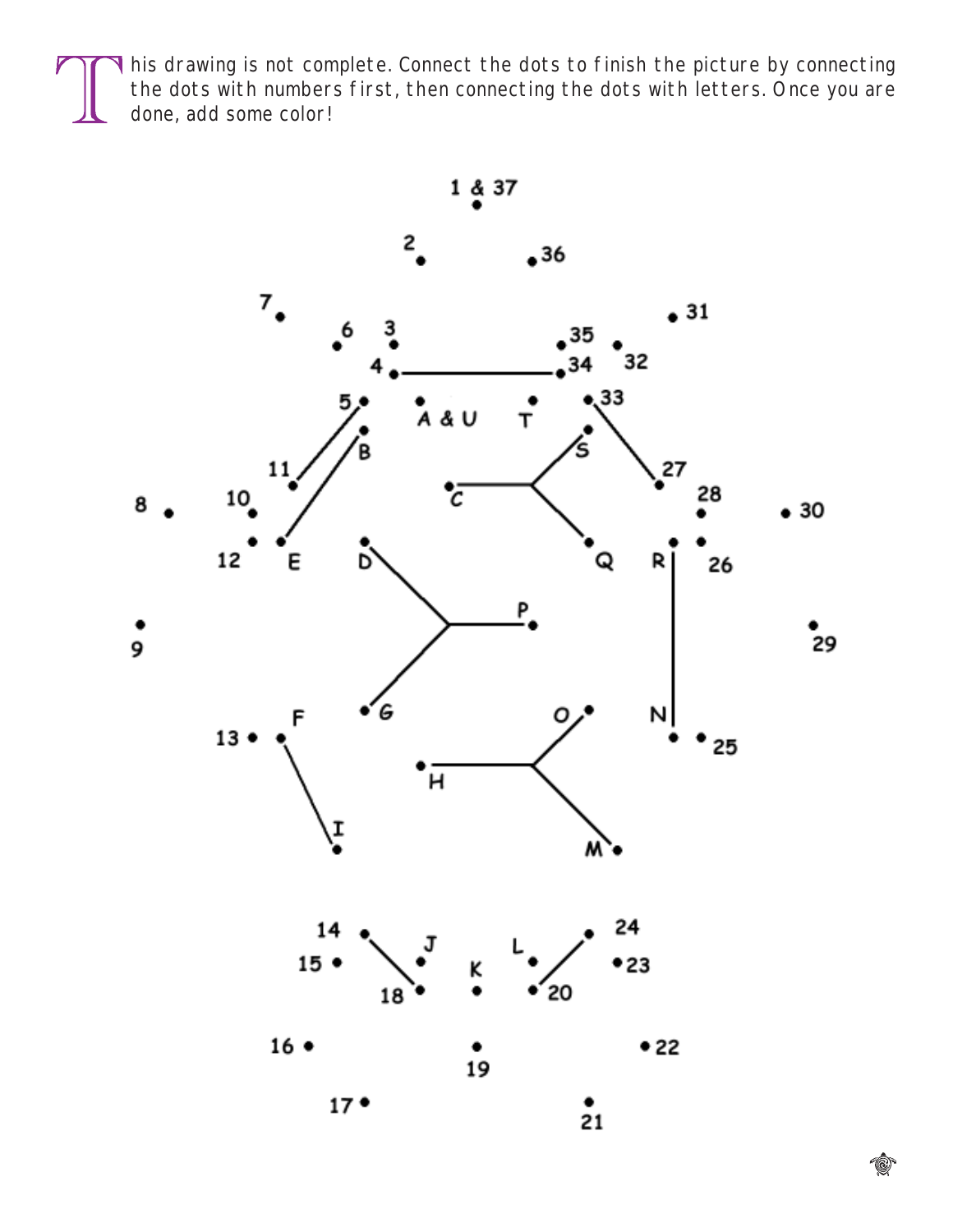Inis drawing is not complete. Connect the dots to finish the picture by connecting the dots with numbers first, then connecting the dots with letters. Once you are done, add some color!

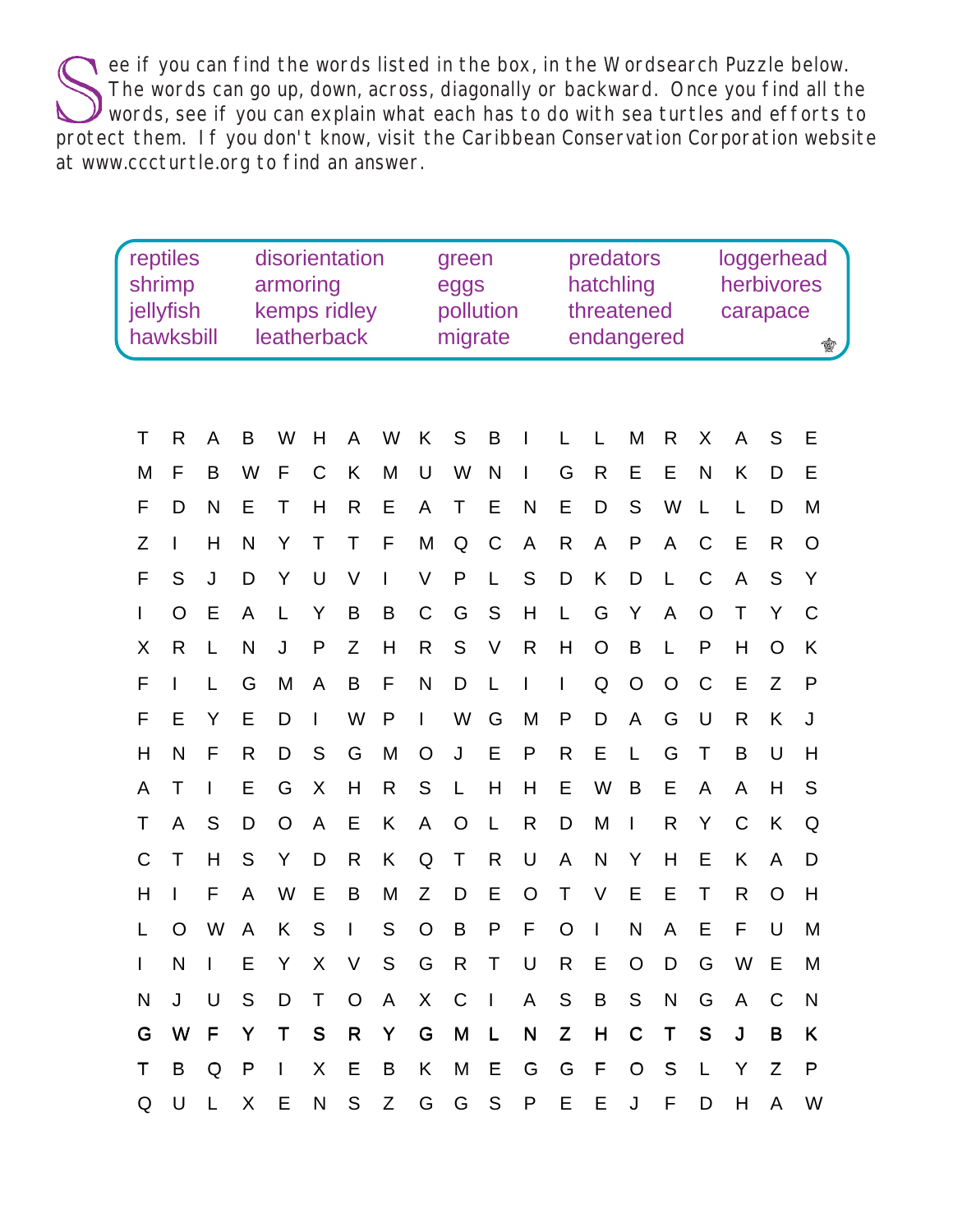ee if you can find the words listed in the box, in the Wordsearch Puzzle below. The words can go up, down, across, diagonally or backward. Once you find all the Words, see if you can explain what each has to do with sea turtles and efforts to protect them. If you don't know, visit the Caribbean Conservation Corporation website at www.cccturtle.org to find an answer.

|   | reptiles<br>shrimp<br>jellyfish<br>hawksbill |              | disorientation<br>armoring<br>kemps ridley<br>leatherback |              |              |              | green<br>eggs<br>pollution<br>migrate |                |     |              | predators<br>hatchling<br>threatened<br>endangered |              |                | loggerhead<br>herbivores<br>carapace<br>¢ |             |             |              |                |   |
|---|----------------------------------------------|--------------|-----------------------------------------------------------|--------------|--------------|--------------|---------------------------------------|----------------|-----|--------------|----------------------------------------------------|--------------|----------------|-------------------------------------------|-------------|-------------|--------------|----------------|---|
|   |                                              |              |                                                           |              |              |              |                                       |                |     |              |                                                    |              |                |                                           |             |             |              |                |   |
| Τ | R                                            | A            | B                                                         | W            | Н            | A            | W                                     | K              | S   | B            |                                                    |              | L              | M                                         | R           | X           | A            | S              | Е |
| M | F                                            | B            | W                                                         | F            | C            | Κ            | M                                     | U              | W   | N            | I                                                  | G            | $\mathsf{R}$   | Е                                         | Е           | N           | K            | D              | Е |
| F | D                                            | N            | Е                                                         | Τ            | Н            | R            | Е                                     | A              | Τ   | Е            | N                                                  | Е            | D              | S                                         | W           | L           | L            | D              | M |
| Z |                                              | H            | N                                                         | Υ            | Τ            | Τ            | F                                     | M              | Q   | $\mathsf C$  | A                                                  | R            | A              | P                                         | A           | C           | E            | $\mathsf{R}$   | O |
| F | S                                            | J            | D                                                         | Y            | U            | V            | I                                     | V              | P   | L            | S                                                  | D            | Κ              | D                                         | L           | C           | A            | S              | Υ |
| I | O                                            | Е            | A                                                         |              | Y            | B            | B                                     | C              | G   | S            | Η                                                  | L            | G              | Y                                         | A           | O           | Τ            | Υ              | C |
| Χ | R                                            | L            | N                                                         | J            | P            | Ζ            | Η                                     | R              | S   | V            | $\mathsf{R}$                                       | Η            | $\overline{O}$ | B                                         |             | P           | Η            | O              | Κ |
| F |                                              | L            | G                                                         | M            | A            | B            | F                                     | N              | D   | L            | I                                                  | $\mathsf{I}$ | Q              | O                                         | O           | $\mathsf C$ | Ε            | Z              | P |
| F | Е                                            | Υ            | E                                                         | D            | $\mathsf{I}$ | W            | P                                     | T              | W   | G            | M                                                  | P            | D              | А                                         | G           | U           | R            | K              | J |
| Η | N                                            | F            | R                                                         | D            | S            | G            | M                                     | O              | J   | Е            | P                                                  | $\mathsf{R}$ | Е              | L                                         | G           | Τ           | B            | U              | Η |
| A | Т                                            |              | Е                                                         | G            | Χ            | Η            | $\mathsf{R}$                          | S              | L   | H            | Η                                                  | E            | W              | Β                                         | Е           | Α           | A            | Н              | S |
| Т | А                                            | S            | D                                                         | O            | A            | E            | Κ                                     | A              | O   | L            | $\mathsf R$                                        | D            | M              | L                                         | R           | Υ           | $\mathsf C$  | K              | Q |
| С | Τ                                            | H            | S                                                         | Y            | D            | $\mathsf{R}$ | Κ                                     | Q              | Т   | $\mathsf{R}$ | U                                                  | A            | N              | Υ                                         | Н           | Е           | Κ            | A              | D |
| н |                                              | F            | A                                                         | W            | E            | B            | M                                     | Z              | D   | E            | O                                                  | Τ            | V              | E                                         | E           | Τ           | R            | $\overline{O}$ | Η |
| L | $\circ$                                      | W            | A                                                         | K            | S            | $\mathbf{L}$ | S                                     | $\overline{O}$ | B   | P            | F                                                  | $\mathsf{O}$ | $\mathbb{R}$   | N                                         | A           | Е           | F.           | U              | M |
| L | N                                            | $\mathbf{L}$ | Е                                                         | Y            | X            | $\vee$       | S                                     | G              | R T |              | $\cup$                                             | $\mathsf{R}$ | E              | $\mathsf{O}$                              | D           | G           | W            | Е              | M |
| N | J                                            | U            | S                                                         | D            | T            | $\circ$      | $\mathsf{A}$                          | X              | $C$ |              | $\mathsf{A}$                                       | S            | B              | S                                         | N           | G           | $\mathsf{A}$ | C              | N |
| G | W                                            | F            | Y                                                         | T            | $\mathsf{S}$ | $\mathsf{R}$ | Y                                     | G              | M   | $\mathsf{L}$ | ${\sf N}$                                          | Z            | H              | $\mathbf C$                               | $\mathsf T$ | S           | J            | B              | Κ |
| Τ | В                                            | Q            | P                                                         | $\mathbf{I}$ | X            | Е            | B                                     | Κ              | M   | E            | G                                                  | G            | F              | $\circ$                                   | $\mathbb S$ | L           | Y            | Z              | P |
| Q | U                                            | L.           | X                                                         | Е            | N            | S            | Z                                     | G              |     | G S          | P                                                  | Е            | Ε              | J                                         | F           | $\mathsf D$ | H            | A              | W |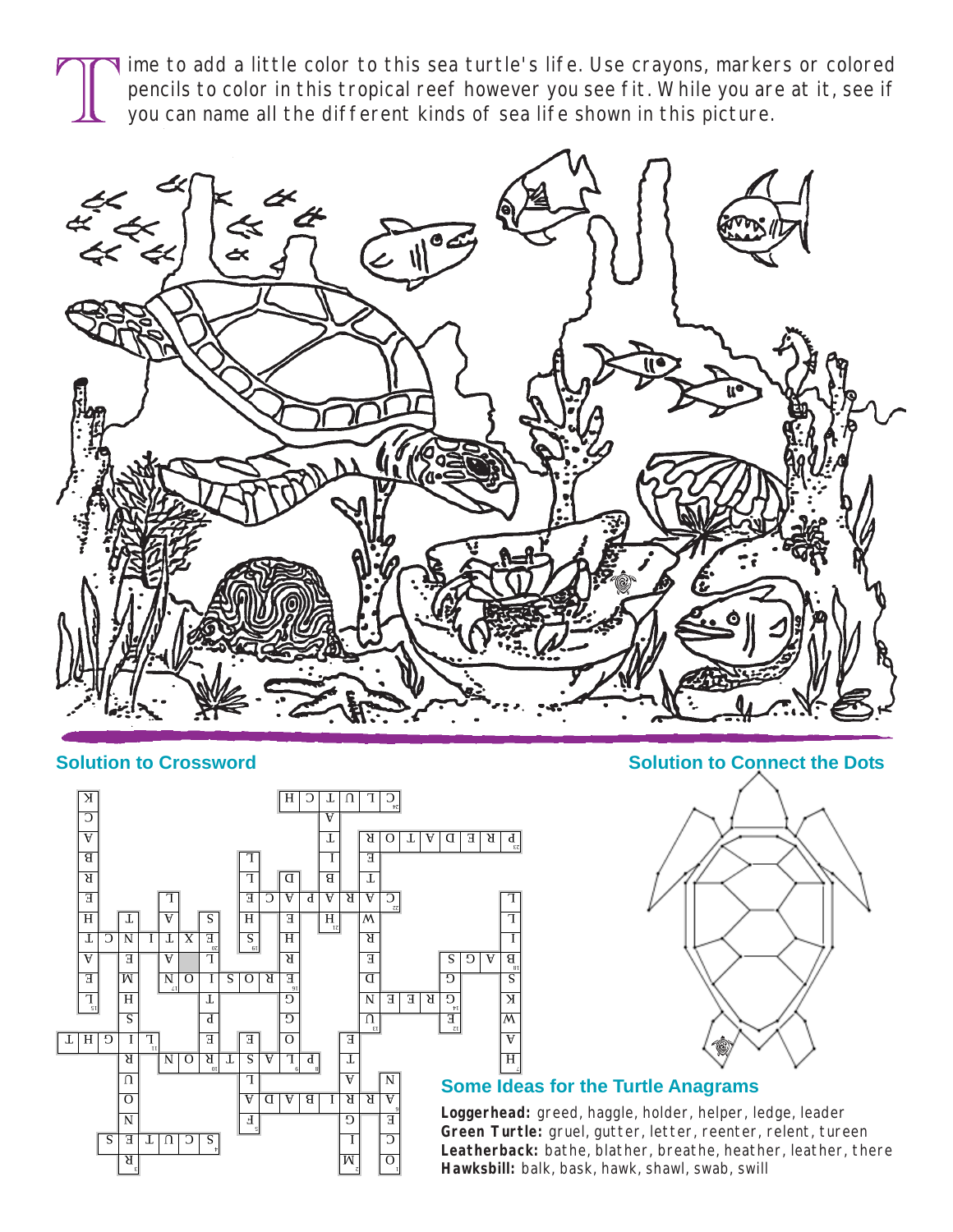ime to add a little color to this sea turtle's life. Use crayons, markers or colored pencils to color in this tropical reef however you see fit. While you are at it, see if you can name all the different kinds of sea life shown in this picture.





**Solution to Crossword Solution to Connect the Dots**